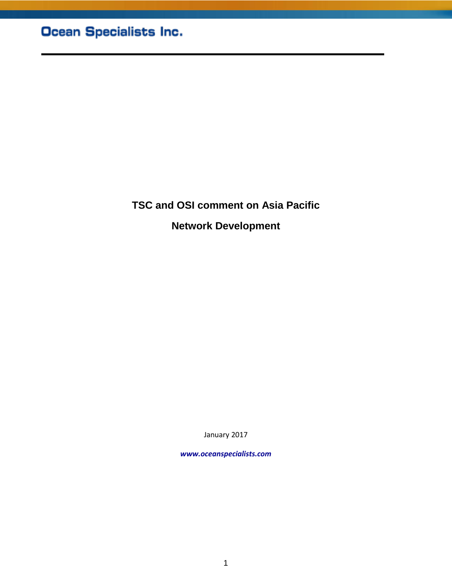**TSC and OSI comment on Asia Pacific Network Development**

January 2017

*www.oceanspecialists.com*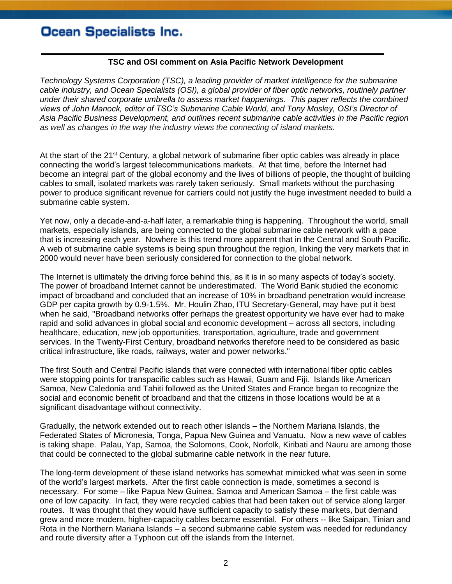## Ocean Specialists Inc.

## **TSC and OSI comment on Asia Pacific Network Development**

*Technology Systems Corporation (TSC), a leading provider of market intelligence for the submarine cable industry, and Ocean Specialists (OSI), a global provider of fiber optic networks, routinely partner under their shared corporate umbrella to assess market happenings. This paper reflects the combined views of John Manock, editor of TSC's Submarine Cable World, and Tony Mosley, OSI's Director of Asia Pacific Business Development, and outlines recent submarine cable activities in the Pacific region as well as changes in the way the industry views the connecting of island markets.*

At the start of the 21<sup>st</sup> Century, a global network of submarine fiber optic cables was already in place connecting the world's largest telecommunications markets. At that time, before the Internet had become an integral part of the global economy and the lives of billions of people, the thought of building cables to small, isolated markets was rarely taken seriously. Small markets without the purchasing power to produce significant revenue for carriers could not justify the huge investment needed to build a submarine cable system.

Yet now, only a decade-and-a-half later, a remarkable thing is happening. Throughout the world, small markets, especially islands, are being connected to the global submarine cable network with a pace that is increasing each year. Nowhere is this trend more apparent that in the Central and South Pacific. A web of submarine cable systems is being spun throughout the region, linking the very markets that in 2000 would never have been seriously considered for connection to the global network.

The Internet is ultimately the driving force behind this, as it is in so many aspects of today's society. The power of broadband Internet cannot be underestimated. The World Bank studied the economic impact of broadband and concluded that an increase of 10% in broadband penetration would increase GDP per capita growth by 0.9-1.5%. Mr. Houlin Zhao, ITU Secretary-General, may have put it best when he said, "Broadband networks offer perhaps the greatest opportunity we have ever had to make rapid and solid advances in global social and economic development – across all sectors, including healthcare, education, new job opportunities, transportation, agriculture, trade and government services. In the Twenty-First Century, broadband networks therefore need to be considered as basic critical infrastructure, like roads, railways, water and power networks."

The first South and Central Pacific islands that were connected with international fiber optic cables were stopping points for transpacific cables such as Hawaii, Guam and Fiji. Islands like American Samoa, New Caledonia and Tahiti followed as the United States and France began to recognize the social and economic benefit of broadband and that the citizens in those locations would be at a significant disadvantage without connectivity.

Gradually, the network extended out to reach other islands – the Northern Mariana Islands, the Federated States of Micronesia, Tonga, Papua New Guinea and Vanuatu. Now a new wave of cables is taking shape. Palau, Yap, Samoa, the Solomons, Cook, Norfolk, Kiribati and Nauru are among those that could be connected to the global submarine cable network in the near future.

The long-term development of these island networks has somewhat mimicked what was seen in some of the world's largest markets. After the first cable connection is made, sometimes a second is necessary. For some – like Papua New Guinea, Samoa and American Samoa – the first cable was one of low capacity. In fact, they were recycled cables that had been taken out of service along larger routes. It was thought that they would have sufficient capacity to satisfy these markets, but demand grew and more modern, higher-capacity cables became essential. For others -- like Saipan, Tinian and Rota in the Northern Mariana Islands – a second submarine cable system was needed for redundancy and route diversity after a Typhoon cut off the islands from the Internet.